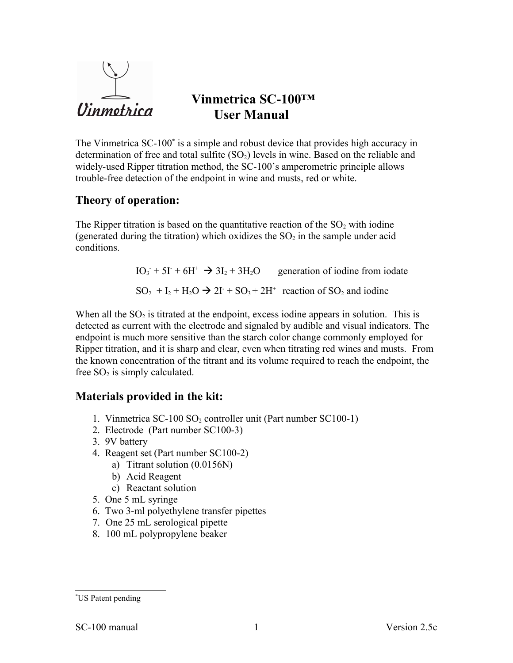

# **Vinmetrica SC-100™ User Manual**

The Vinmetrica SC-100<sup>[\\*](#page-0-0)</sup> is a simple and robust device that provides high accuracy in determination of free and total sulfite  $(SO<sub>2</sub>)$  levels in wine. Based on the reliable and widely-used Ripper titration method, the SC-100's amperometric principle allows trouble-free detection of the endpoint in wine and musts, red or white.

# **Theory of operation:**

The Ripper titration is based on the quantitative reaction of the  $SO<sub>2</sub>$  with iodine (generated during the titration) which oxidizes the  $SO<sub>2</sub>$  in the sample under acid conditions.

> $IO_3 + 5I + 6H^+ \rightarrow 3I_2 + 3H_2O$  generation of iodine from iodate  $SO_2 + I_2 + H_2O \rightarrow 2I^+ + SO_3 + 2H^+$  reaction of  $SO_2$  and iodine

When all the  $SO_2$  is titrated at the endpoint, excess iodine appears in solution. This is detected as current with the electrode and signaled by audible and visual indicators. The endpoint is much more sensitive than the starch color change commonly employed for Ripper titration, and it is sharp and clear, even when titrating red wines and musts. From the known concentration of the titrant and its volume required to reach the endpoint, the free  $SO_2$  is simply calculated.

# **Materials provided in the kit:**

- 1. Vinmetrica SC-100 SO<sub>2</sub> controller unit (Part number SC100-1)
- 2. Electrode (Part number SC100-3)
- 3. 9V battery
- 4. Reagent set (Part number SC100-2)
	- a) Titrant solution (0.0156N)
	- b) Acid Reagent
	- c) Reactant solution
- 5. One 5 mL syringe
- 6. Two 3-ml polyethylene transfer pipettes
- 7. One 25 mL serological pipette
- 8. 100 mL polypropylene beaker

<span id="page-0-0"></span><sup>\*</sup>US Patent pending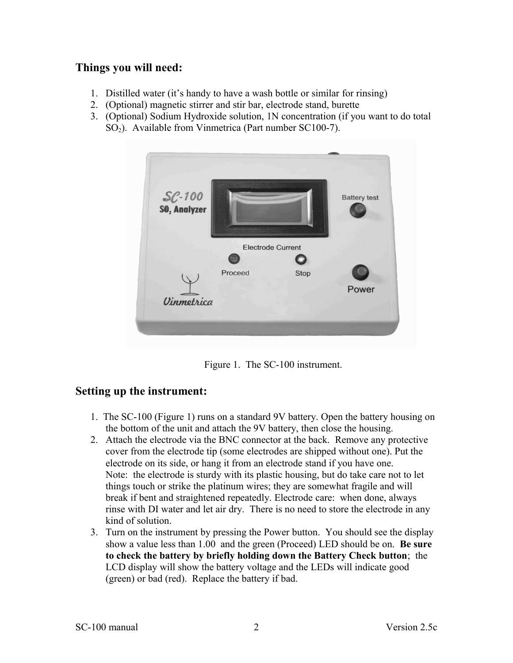# **Things you will need:**

- 1. Distilled water (it's handy to have a wash bottle or similar for rinsing)
- 2. (Optional) magnetic stirrer and stir bar, electrode stand, burette
- 3. (Optional) Sodium Hydroxide solution, 1N concentration (if you want to do total  $SO<sub>2</sub>$ ). Available from Vinmetrica (Part number SC100-7).



Figure 1. The SC-100 instrument.

# **Setting up the instrument:**

- 1. The SC-100 (Figure 1) runs on a standard 9V battery. Open the battery housing on the bottom of the unit and attach the 9V battery, then close the housing.
- 2. Attach the electrode via the BNC connector at the back. Remove any protective cover from the electrode tip (some electrodes are shipped without one). Put the electrode on its side, or hang it from an electrode stand if you have one. Note: the electrode is sturdy with its plastic housing, but do take care not to let things touch or strike the platinum wires; they are somewhat fragile and will break if bent and straightened repeatedly. Electrode care: when done, always rinse with DI water and let air dry. There is no need to store the electrode in any kind of solution.
- 3. Turn on the instrument by pressing the Power button. You should see the display show a value less than 1.00 and the green (Proceed) LED should be on. **Be sure to check the battery by briefly holding down the Battery Check button**; the LCD display will show the battery voltage and the LEDs will indicate good (green) or bad (red). Replace the battery if bad.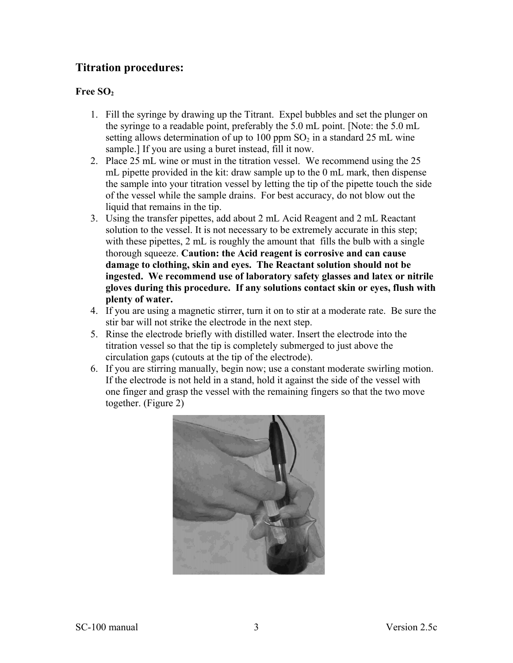# **Titration procedures:**

### **Free SO<sup>2</sup>**

- 1. Fill the syringe by drawing up the Titrant. Expel bubbles and set the plunger on the syringe to a readable point, preferably the 5.0 mL point. [Note: the 5.0 mL setting allows determination of up to 100 ppm  $SO<sub>2</sub>$  in a standard 25 mL wine sample.] If you are using a buret instead, fill it now.
- 2. Place 25 mL wine or must in the titration vessel. We recommend using the 25 mL pipette provided in the kit: draw sample up to the 0 mL mark, then dispense the sample into your titration vessel by letting the tip of the pipette touch the side of the vessel while the sample drains. For best accuracy, do not blow out the liquid that remains in the tip.
- 3. Using the transfer pipettes, add about 2 mL Acid Reagent and 2 mL Reactant solution to the vessel. It is not necessary to be extremely accurate in this step; with these pipettes, 2 mL is roughly the amount that fills the bulb with a single thorough squeeze. **Caution: the Acid reagent is corrosive and can cause damage to clothing, skin and eyes. The Reactant solution should not be ingested. We recommend use of laboratory safety glasses and latex or nitrile gloves during this procedure. If any solutions contact skin or eyes, flush with plenty of water.**
- 4. If you are using a magnetic stirrer, turn it on to stir at a moderate rate. Be sure the stir bar will not strike the electrode in the next step.
- 5. Rinse the electrode briefly with distilled water. Insert the electrode into the titration vessel so that the tip is completely submerged to just above the circulation gaps (cutouts at the tip of the electrode).
- 6. If you are stirring manually, begin now; use a constant moderate swirling motion. If the electrode is not held in a stand, hold it against the side of the vessel with one finger and grasp the vessel with the remaining fingers so that the two move together. (Figure 2)

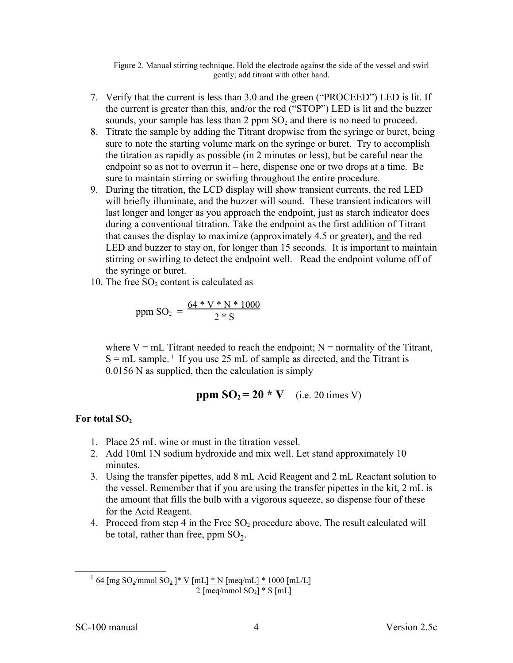Figure 2. Manual stirring technique. Hold the electrode against the side of the vessel and swirl gently; add titrant with other hand.

- 7. Verify that the current is less than 3.0 and the green ("PROCEED") LED is lit. If the current is greater than this, and/or the red ("STOP") LED is lit and the buzzer sounds, your sample has less than 2 ppm  $SO<sub>2</sub>$  and there is no need to proceed.
- 8. Titrate the sample by adding the Titrant dropwise from the syringe or buret, being sure to note the starting volume mark on the syringe or buret. Try to accomplish the titration as rapidly as possible (in 2 minutes or less), but be careful near the endpoint so as not to overrun it – here, dispense one or two drops at a time. Be sure to maintain stirring or swirling throughout the entire procedure.
- 9. During the titration, the LCD display will show transient currents, the red LED will briefly illuminate, and the buzzer will sound. These transient indicators will last longer and longer as you approach the endpoint, just as starch indicator does during a conventional titration. Take the endpoint as the first addition of Titrant that causes the display to maximize (approximately 4.5 or greater), and the red LED and buzzer to stay on, for longer than 15 seconds. It is important to maintain stirring or swirling to detect the endpoint well. Read the endpoint volume off of the syringe or buret.
- 10. The free  $SO<sub>2</sub>$  content is calculated as

ppm SO<sub>2</sub> = 
$$
\frac{64 * V * N * 1000}{2 * S}
$$

where  $V = mL$  Titrant needed to reach the endpoint;  $N =$  normality of the Titrant,  $S = mL$  sample.<sup>[1](#page-3-0)</sup> If you use 25 mL of sample as directed, and the Titrant is 0.0156 N as supplied, then the calculation is simply

**ppm SO2 = 20 \* V** (i.e. 20 times V)

#### **For total SO<sup>2</sup>**

- 1. Place 25 mL wine or must in the titration vessel.
- 2. Add 10ml 1N sodium hydroxide and mix well. Let stand approximately 10 minutes.
- 3. Using the transfer pipettes, add 8 mL Acid Reagent and 2 mL Reactant solution to the vessel. Remember that if you are using the transfer pipettes in the kit, 2 mL is the amount that fills the bulb with a vigorous squeeze, so dispense four of these for the Acid Reagent.
- 4. Proceed from step 4 in the Free  $SO<sub>2</sub>$  procedure above. The result calculated will be total, rather than free, ppm  $SO_2$ .

<span id="page-3-0"></span> $^{1}$  64 [mg SO<sub>2</sub>/mmol SO<sub>2</sub>]\* V [mL] \* N [meq/mL] \* 1000 [mL/L] 2 [meq/mmol  $SO_2$ ]  $*$  S [mL]